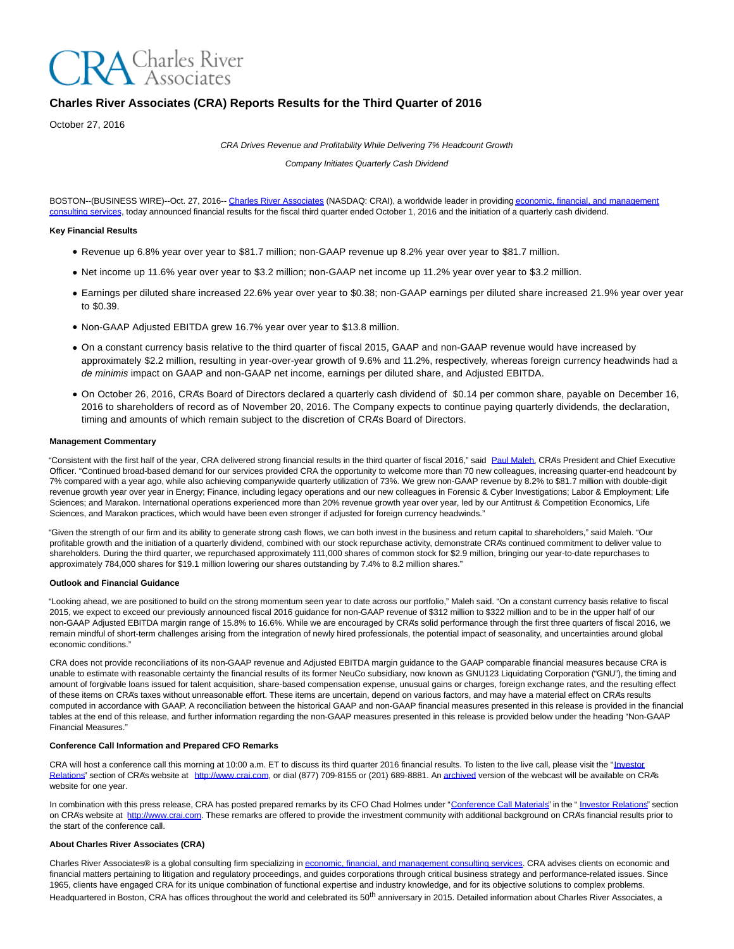

# **Charles River Associates (CRA) Reports Results for the Third Quarter of 2016**

October 27, 2016

CRA Drives Revenue and Profitability While Delivering 7% Headcount Growth

Company Initiates Quarterly Cash Dividend

BOSTON--(BUSINESS WIRE)--Oct. 27, 2016-[- Charles River Associates \(](http://cts.businesswire.com/ct/CT?id=smartlink&url=http%3A%2F%2Fwww.crai.com%2FDefault.aspx&esheet=51448093&newsitemid=20161027005847&lan=en-US&anchor=Charles+River+Associates&index=1&md5=1e9ab90ced46460f07fba29fab3493f1)NASDAQ: CRAI), a worldwide leader in providing [economic, financial, and management](http://cts.businesswire.com/ct/CT?id=smartlink&url=http%3A%2F%2Fwww.crai.com%2FConsultingExpertise%2FDefaultCustom.aspx&esheet=51448093&newsitemid=20161027005847&lan=en-US&anchor=economic%2C+financial%2C+and+management+consulting+services&index=2&md5=e83079ccdccaa0518792f51c60b78850) consulting services, today announced financial results for the fiscal third quarter ended October 1, 2016 and the initiation of a quarterly cash dividend.

## **Key Financial Results**

- Revenue up 6.8% year over year to \$81.7 million; non-GAAP revenue up 8.2% year over year to \$81.7 million.
- Net income up 11.6% year over year to \$3.2 million; non-GAAP net income up 11.2% year over year to \$3.2 million.
- Earnings per diluted share increased 22.6% year over year to \$0.38; non-GAAP earnings per diluted share increased 21.9% year over year to \$0.39.
- Non-GAAP Adjusted EBITDA grew 16.7% year over year to \$13.8 million.
- On a constant currency basis relative to the third quarter of fiscal 2015, GAAP and non-GAAP revenue would have increased by approximately \$2.2 million, resulting in year-over-year growth of 9.6% and 11.2%, respectively, whereas foreign currency headwinds had a de minimis impact on GAAP and non-GAAP net income, earnings per diluted share, and Adjusted EBITDA.
- On October 26, 2016, CRA's Board of Directors declared a quarterly cash dividend of \$0.14 per common share, payable on December 16, 2016 to shareholders of record as of November 20, 2016. The Company expects to continue paying quarterly dividends, the declaration, timing and amounts of which remain subject to the discretion of CRA's Board of Directors.

#### **Management Commentary**

"Consistent with the first half of the year, CRA delivered strong financial results in the third quarter of fiscal 2016," said [Paul Maleh,](http://cts.businesswire.com/ct/CT?id=smartlink&url=http%3A%2F%2Fwww.crai.com%2Fexpert%2Fpaul-maleh&esheet=51448093&newsitemid=20161027005847&lan=en-US&anchor=Paul+Maleh&index=3&md5=4ff98a0bdc47c3f028a7b2ed78b63796) CRA's President and Chief Executive Officer. "Continued broad-based demand for our services provided CRA the opportunity to welcome more than 70 new colleagues, increasing quarter-end headcount by 7% compared with a year ago, while also achieving companywide quarterly utilization of 73%. We grew non-GAAP revenue by 8.2% to \$81.7 million with double-digit revenue growth year over year in Energy; Finance, including legacy operations and our new colleagues in Forensic & Cyber Investigations; Labor & Employment; Life Sciences; and Marakon. International operations experienced more than 20% revenue growth year over year, led by our Antitrust & Competition Economics, Life Sciences, and Marakon practices, which would have been even stronger if adjusted for foreign currency headwinds."

"Given the strength of our firm and its ability to generate strong cash flows, we can both invest in the business and return capital to shareholders," said Maleh. "Our profitable growth and the initiation of a quarterly dividend, combined with our stock repurchase activity, demonstrate CRA's continued commitment to deliver value to shareholders. During the third quarter, we repurchased approximately 111,000 shares of common stock for \$2.9 million, bringing our year-to-date repurchases to approximately 784,000 shares for \$19.1 million lowering our shares outstanding by 7.4% to 8.2 million shares."

## **Outlook and Financial Guidance**

"Looking ahead, we are positioned to build on the strong momentum seen year to date across our portfolio," Maleh said. "On a constant currency basis relative to fiscal 2015, we expect to exceed our previously announced fiscal 2016 guidance for non-GAAP revenue of \$312 million to \$322 million and to be in the upper half of our non-GAAP Adjusted EBITDA margin range of 15.8% to 16.6%. While we are encouraged by CRA's solid performance through the first three quarters of fiscal 2016, we remain mindful of short-term challenges arising from the integration of newly hired professionals, the potential impact of seasonality, and uncertainties around global economic conditions."

CRA does not provide reconciliations of its non-GAAP revenue and Adjusted EBITDA margin guidance to the GAAP comparable financial measures because CRA is unable to estimate with reasonable certainty the financial results of its former NeuCo subsidiary, now known as GNU123 Liquidating Corporation ("GNU"), the timing and amount of forgivable loans issued for talent acquisition, share-based compensation expense, unusual gains or charges, foreign exchange rates, and the resulting effect of these items on CRA's taxes without unreasonable effort. These items are uncertain, depend on various factors, and may have a material effect on CRA's results computed in accordance with GAAP. A reconciliation between the historical GAAP and non-GAAP financial measures presented in this release is provided in the financial tables at the end of this release, and further information regarding the non-GAAP measures presented in this release is provided below under the heading "Non-GAAP Financial Measures."

#### **Conference Call Information and Prepared CFO Remarks**

CRA will host a conference call this morning at 10:00 a.m. ET to discuss its third quarter 2016 financial results. To listen to the live call, please visit the ["Investor](http://cts.businesswire.com/ct/CT?id=smartlink&url=http%3A%2F%2Fphx.corporate-ir.net%2Fphoenix.zhtml%3Fc%3D97435%26p%3Dirol-IRHome&esheet=51448093&newsitemid=20161027005847&lan=en-US&anchor=Investor+Relations&index=4&md5=2ff54bf8df9b77b163c2e6779d1e6c58) Relations" section of CRA's website at [http://www.crai.com,](http://cts.businesswire.com/ct/CT?id=smartlink&url=http%3A%2F%2Fwww.crai.com%2FDefault.aspx&esheet=51448093&newsitemid=20161027005847&lan=en-US&anchor=http%3A%2F%2Fwww.crai.com&index=5&md5=a464188c891b74fb1e836c3ca3b9df90) or dial (877) 709-8155 or (201) 689-8881. An [archived v](http://cts.businesswire.com/ct/CT?id=smartlink&url=http%3A%2F%2Fphx.corporate-ir.net%2Fphoenix.zhtml%3Fc%3D97435%26p%3Dirol-calendarpast&esheet=51448093&newsitemid=20161027005847&lan=en-US&anchor=archived&index=6&md5=7e68a74ba48b5d9c44b5b8367267704d)ersion of the webcast will be available on CRA's website for one year.

In combination with this press release, CRA has posted prepared remarks by its CFO Chad Holmes under ["Conference Call Materials"](http://cts.businesswire.com/ct/CT?id=smartlink&url=http%3A%2F%2Fphx.corporate-ir.net%2Fphoenix.zhtml%3Fc%3D97435%26p%3Dirol-presentations&esheet=51448093&newsitemid=20161027005847&lan=en-US&anchor=Conference+Call+Materials&index=7&md5=c5c804932e6327a414021ac065fa15f4) in the " [Investor Relations"](http://cts.businesswire.com/ct/CT?id=smartlink&url=http%3A%2F%2Fphx.corporate-ir.net%2Fphoenix.zhtml%3Fc%3D97435%26p%3Dirol-IRHome&esheet=51448093&newsitemid=20161027005847&lan=en-US&anchor=Investor+Relations&index=8&md5=f35cabdce659bb83e373e9ec8d615bc8) section on CRA's website at [http://www.crai.com.](http://cts.businesswire.com/ct/CT?id=smartlink&url=http%3A%2F%2Fwww.crai.com%2FDefault.aspx&esheet=51448093&newsitemid=20161027005847&lan=en-US&anchor=http%3A%2F%2Fwww.crai.com&index=9&md5=d32f9551aee7a37e489339f61211b9b6) These remarks are offered to provide the investment community with additional background on CRA's financial results prior to the start of the conference call.

## **About Charles River Associates (CRA)**

Charles River Associates® is a global consulting firm specializing in [economic, financial, and management consulting services.](http://cts.businesswire.com/ct/CT?id=smartlink&url=http%3A%2F%2Fwww.crai.com%2FConsultingExpertise%2FDefaultCustom.aspx&esheet=51448093&newsitemid=20161027005847&lan=en-US&anchor=economic%2C+financial%2C+and+management+consulting+services&index=10&md5=cab1958e9c2e404a137a7836b110dffc) CRA advises clients on economic and financial matters pertaining to litigation and regulatory proceedings, and guides corporations through critical business strategy and performance-related issues. Since 1965, clients have engaged CRA for its unique combination of functional expertise and industry knowledge, and for its objective solutions to complex problems. Headquartered in Boston, CRA has offices throughout the world and celebrated its 50<sup>th</sup> anniversary in 2015. Detailed information about Charles River Associates, a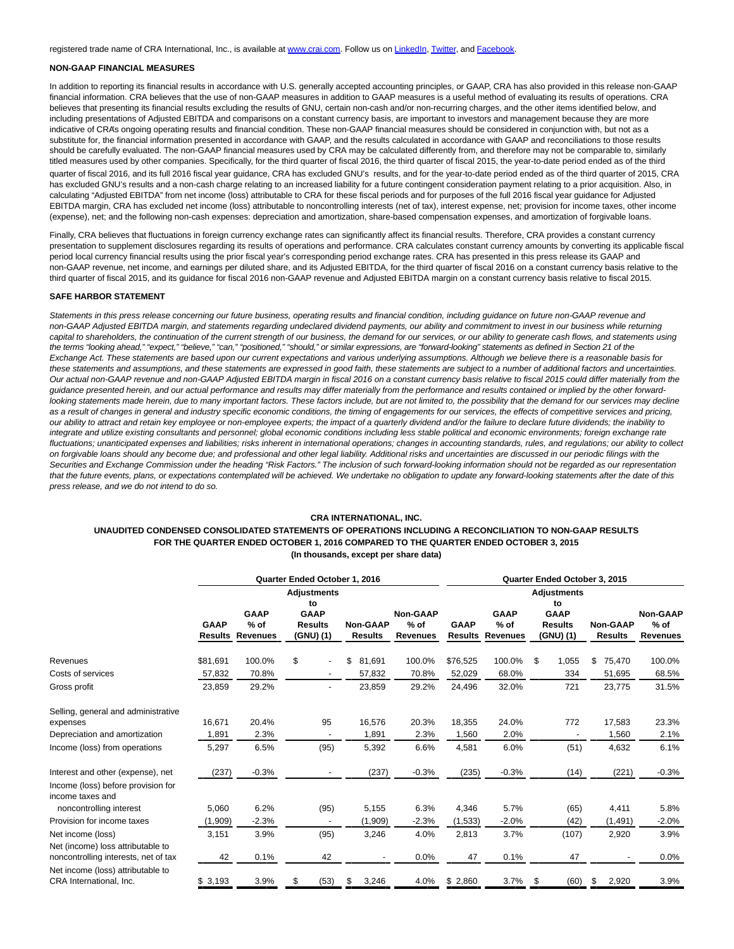registered trade name of CRA International, Inc., is available a[t www.crai.com.](http://cts.businesswire.com/ct/CT?id=smartlink&url=http%3A%2F%2Fwww.crai.com&esheet=51448093&newsitemid=20161027005847&lan=en-US&anchor=www.crai.com&index=11&md5=165edcc8443c93aa57193d32ef6f77a7) Follow us o[n LinkedIn,](http://cts.businesswire.com/ct/CT?id=smartlink&url=https%3A%2F%2Fwww.linkedin.com%2Fcompany%2Fcharles-river-associates&esheet=51448093&newsitemid=20161027005847&lan=en-US&anchor=LinkedIn&index=12&md5=d1dc75e36031ad243802b4a7c82428b1) [Twitter,](http://cts.businesswire.com/ct/CT?id=smartlink&url=https%3A%2F%2Ftwitter.com%2FNews_CRA&esheet=51448093&newsitemid=20161027005847&lan=en-US&anchor=Twitter&index=13&md5=d892dc1d0bce741f7b7cfa0c25453d91) an[d Facebook.](http://cts.businesswire.com/ct/CT?id=smartlink&url=https%3A%2F%2Fwww.facebook.com%2FCharlesRiverAssociates&esheet=51448093&newsitemid=20161027005847&lan=en-US&anchor=Facebook&index=14&md5=691d516cd7b7a275b26aaa9cc252329b)

## **NON-GAAP FINANCIAL MEASURES**

In addition to reporting its financial results in accordance with U.S. generally accepted accounting principles, or GAAP, CRA has also provided in this release non-GAAP financial information. CRA believes that the use of non-GAAP measures in addition to GAAP measures is a useful method of evaluating its results of operations. CRA believes that presenting its financial results excluding the results of GNU, certain non-cash and/or non-recurring charges, and the other items identified below, and including presentations of Adjusted EBITDA and comparisons on a constant currency basis, are important to investors and management because they are more indicative of CRA's ongoing operating results and financial condition. These non-GAAP financial measures should be considered in conjunction with, but not as a substitute for, the financial information presented in accordance with GAAP, and the results calculated in accordance with GAAP and reconciliations to those results should be carefully evaluated. The non-GAAP financial measures used by CRA may be calculated differently from, and therefore may not be comparable to, similarly titled measures used by other companies. Specifically, for the third quarter of fiscal 2016, the third quarter of fiscal 2015, the year-to-date period ended as of the third quarter of fiscal 2016, and its full 2016 fiscal year guidance, CRA has excluded GNU's results, and for the year-to-date period ended as of the third quarter of 2015, CRA has excluded GNU's results and a non-cash charge relating to an increased liability for a future contingent consideration payment relating to a prior acquisition. Also, in calculating "Adjusted EBITDA" from net income (loss) attributable to CRA for these fiscal periods and for purposes of the full 2016 fiscal year guidance for Adjusted EBITDA margin, CRA has excluded net income (loss) attributable to noncontrolling interests (net of tax), interest expense, net; provision for income taxes, other income (expense), net; and the following non-cash expenses: depreciation and amortization, share-based compensation expenses, and amortization of forgivable loans.

Finally, CRA believes that fluctuations in foreign currency exchange rates can significantly affect its financial results. Therefore, CRA provides a constant currency presentation to supplement disclosures regarding its results of operations and performance. CRA calculates constant currency amounts by converting its applicable fiscal period local currency financial results using the prior fiscal year's corresponding period exchange rates. CRA has presented in this press release its GAAP and non-GAAP revenue, net income, and earnings per diluted share, and its Adjusted EBITDA, for the third quarter of fiscal 2016 on a constant currency basis relative to the third quarter of fiscal 2015, and its guidance for fiscal 2016 non-GAAP revenue and Adjusted EBITDA margin on a constant currency basis relative to fiscal 2015.

#### **SAFE HARBOR STATEMENT**

Statements in this press release concerning our future business, operating results and financial condition, including guidance on future non-GAAP revenue and non-GAAP Adjusted EBITDA margin, and statements regarding undeclared dividend payments, our ability and commitment to invest in our business while returning capital to shareholders, the continuation of the current strength of our business, the demand for our services, or our ability to generate cash flows, and statements using the terms "looking ahead," "expect," "believe," "can," "positioned," "should," or similar expressions, are "forward-looking" statements as defined in Section 21 of the Exchange Act. These statements are based upon our current expectations and various underlying assumptions. Although we believe there is a reasonable basis for these statements and assumptions, and these statements are expressed in good faith, these statements are subject to a number of additional factors and uncertainties. Our actual non-GAAP revenue and non-GAAP Adjusted EBITDA margin in fiscal 2016 on a constant currency basis relative to fiscal 2015 could differ materially from the guidance presented herein, and our actual performance and results may differ materially from the performance and results contained or implied by the other forwardlooking statements made herein, due to many important factors. These factors include, but are not limited to, the possibility that the demand for our services may decline as a result of changes in general and industry specific economic conditions, the timing of engagements for our services, the effects of competitive services and pricing, our ability to attract and retain key employee or non-employee experts; the impact of a quarterly dividend and/or the failure to declare future dividends; the inability to integrate and utilize existing consultants and personnel; global economic conditions including less stable political and economic environments; foreign exchange rate fluctuations; unanticipated expenses and liabilities; risks inherent in international operations; changes in accounting standards, rules, and regulations; our ability to collect on forgivable loans should any become due; and professional and other legal liability. Additional risks and uncertainties are discussed in our periodic filings with the Securities and Exchange Commission under the heading "Risk Factors." The inclusion of such forward-looking information should not be regarded as our representation that the future events, plans, or expectations contemplated will be achieved. We undertake no obligation to update any forward-looking statements after the date of this press release, and we do not intend to do so.

### **CRA INTERNATIONAL, INC.**

## **UNAUDITED CONDENSED CONSOLIDATED STATEMENTS OF OPERATIONS INCLUDING A RECONCILIATION TO NON-GAAP RESULTS FOR THE QUARTER ENDED OCTOBER 1, 2016 COMPARED TO THE QUARTER ENDED OCTOBER 3, 2015 (In thousands, except per share data)**

|                                                                           |                               |                                          |                                            |      | Quarter Ended October 1, 2016     | Quarter Ended October 3, 2015                |             |                                                  |                                            |    |                                   |                                              |  |
|---------------------------------------------------------------------------|-------------------------------|------------------------------------------|--------------------------------------------|------|-----------------------------------|----------------------------------------------|-------------|--------------------------------------------------|--------------------------------------------|----|-----------------------------------|----------------------------------------------|--|
|                                                                           |                               |                                          | <b>Adjustments</b><br>to                   |      |                                   | <b>Adjustments</b><br>to                     |             |                                                  |                                            |    |                                   |                                              |  |
|                                                                           | <b>GAAP</b><br><b>Results</b> | <b>GAAP</b><br>$%$ of<br><b>Revenues</b> | <b>GAAP</b><br><b>Results</b><br>(GNU) (1) |      | <b>Non-GAAP</b><br><b>Results</b> | <b>Non-GAAP</b><br>$%$ of<br><b>Revenues</b> | <b>GAAP</b> | <b>GAAP</b><br>$%$ of<br><b>Results Revenues</b> | <b>GAAP</b><br><b>Results</b><br>(GNU) (1) |    | <b>Non-GAAP</b><br><b>Results</b> | <b>Non-GAAP</b><br>$%$ of<br><b>Revenues</b> |  |
| Revenues                                                                  | \$81,691                      | 100.0%                                   | \$                                         |      | \$<br>81,691                      | 100.0%                                       | \$76,525    | 100.0%                                           | \$<br>1,055                                | \$ | 75,470                            | 100.0%                                       |  |
| Costs of services                                                         | 57,832                        | 70.8%                                    |                                            |      | 57,832                            | 70.8%                                        | 52,029      | 68.0%                                            | 334                                        |    | 51,695                            | 68.5%                                        |  |
| Gross profit                                                              | 23,859                        | 29.2%                                    |                                            |      | 23,859                            | 29.2%                                        | 24,496      | 32.0%                                            | 721                                        |    | 23,775                            | 31.5%                                        |  |
| Selling, general and administrative                                       |                               |                                          |                                            |      |                                   |                                              |             |                                                  |                                            |    |                                   |                                              |  |
| expenses                                                                  | 16,671                        | 20.4%                                    |                                            | 95   | 16,576                            | 20.3%                                        | 18,355      | 24.0%                                            | 772                                        |    | 17,583                            | 23.3%                                        |  |
| Depreciation and amortization                                             | 1,891                         | 2.3%                                     |                                            |      | 1,891                             | 2.3%                                         | 1,560       | 2.0%                                             | $\overline{\phantom{a}}$                   |    | 1,560                             | 2.1%                                         |  |
| Income (loss) from operations                                             | 5,297                         | 6.5%                                     |                                            | (95) | 5,392                             | 6.6%                                         | 4,581       | 6.0%                                             | (51)                                       |    | 4,632                             | 6.1%                                         |  |
| Interest and other (expense), net                                         | (237)                         | $-0.3%$                                  |                                            |      | (237)                             | $-0.3%$                                      | (235)       | $-0.3%$                                          | (14)                                       |    | (221)                             | $-0.3%$                                      |  |
| Income (loss) before provision for<br>income taxes and                    |                               |                                          |                                            |      |                                   |                                              |             |                                                  |                                            |    |                                   |                                              |  |
| noncontrolling interest                                                   | 5,060                         | 6.2%                                     |                                            | (95) | 5,155                             | 6.3%                                         | 4,346       | 5.7%                                             | (65)                                       |    | 4,411                             | 5.8%                                         |  |
| Provision for income taxes                                                | (1,909)                       | $-2.3%$                                  |                                            |      | (1,909)                           | $-2.3%$                                      | (1,533)     | $-2.0%$                                          | (42)                                       |    | (1, 491)                          | $-2.0%$                                      |  |
| Net income (loss)                                                         | 3,151                         | 3.9%                                     |                                            | (95) | 3,246                             | 4.0%                                         | 2,813       | 3.7%                                             | (107)                                      |    | 2,920                             | 3.9%                                         |  |
| Net (income) loss attributable to<br>noncontrolling interests, net of tax | 42                            | 0.1%                                     |                                            | 42   |                                   | 0.0%                                         | 47          | 0.1%                                             | 47                                         |    | $\blacksquare$                    | $0.0\%$                                      |  |
| Net income (loss) attributable to<br>CRA International, Inc.              | \$3,193                       | 3.9%                                     | \$                                         | (53) | \$<br>3,246                       | 4.0%                                         | \$2,860     | 3.7%                                             | (60)<br>\$                                 | \$ | 2,920                             | 3.9%                                         |  |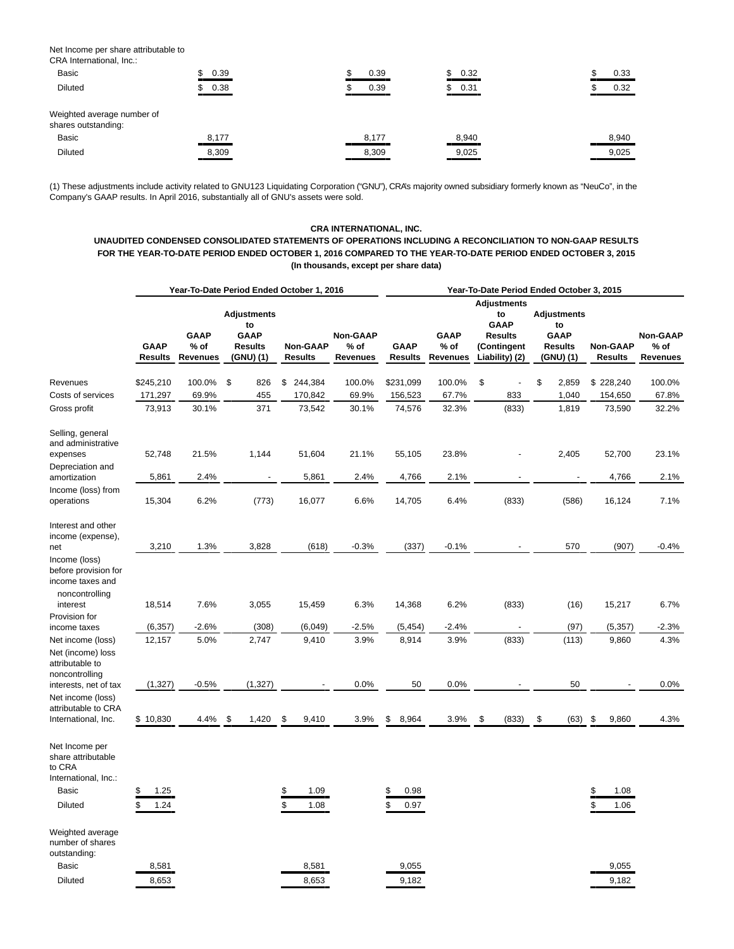Net Income per share attributable to CRA International, Inc.:

| UNA INTERNATIONAL, INC.                           |            |       |        |       |
|---------------------------------------------------|------------|-------|--------|-------|
| <b>Basic</b>                                      | 0.39<br>\$ | 0.39  | \$0.32 | 0.33  |
| <b>Diluted</b>                                    | 0.38       | 0.39  | \$0.31 | 0.32  |
| Weighted average number of<br>shares outstanding: |            |       |        |       |
| <b>Basic</b>                                      | 8,177      | 8,177 | 8,940  | 8,940 |
| <b>Diluted</b>                                    | 8,309      | 8,309 | 9,025  | 9,025 |

(1) These adjustments include activity related to GNU123 Liquidating Corporation ("GNU"), CRA's majority owned subsidiary formerly known as "NeuCo", in the Company's GAAP results. In April 2016, substantially all of GNU's assets were sold.

# **CRA INTERNATIONAL, INC.**

**UNAUDITED CONDENSED CONSOLIDATED STATEMENTS OF OPERATIONS INCLUDING A RECONCILIATION TO NON-GAAP RESULTS FOR THE YEAR-TO-DATE PERIOD ENDED OCTOBER 1, 2016 COMPARED TO THE YEAR-TO-DATE PERIOD ENDED OCTOBER 3, 2015 (In thousands, except per share data)**

|                                                                                                      |                               |                                          | Year-To-Date Period Ended October 1, 2016                              |                                   |                                            | Year-To-Date Period Ended October 3, 2015 |                                          |                                                                                            |                                                                       |                                   |                                            |  |  |  |
|------------------------------------------------------------------------------------------------------|-------------------------------|------------------------------------------|------------------------------------------------------------------------|-----------------------------------|--------------------------------------------|-------------------------------------------|------------------------------------------|--------------------------------------------------------------------------------------------|-----------------------------------------------------------------------|-----------------------------------|--------------------------------------------|--|--|--|
|                                                                                                      | <b>GAAP</b><br><b>Results</b> | <b>GAAP</b><br>$%$ of<br><b>Revenues</b> | <b>Adjustments</b><br>to<br><b>GAAP</b><br><b>Results</b><br>(GNU) (1) | <b>Non-GAAP</b><br><b>Results</b> | <b>Non-GAAP</b><br>% of<br><b>Revenues</b> | <b>GAAP</b><br><b>Results</b>             | <b>GAAP</b><br>$%$ of<br><b>Revenues</b> | <b>Adjustments</b><br>to<br><b>GAAP</b><br><b>Results</b><br>(Contingent<br>Liability) (2) | <b>Adjustments</b><br>to<br><b>GAAP</b><br><b>Results</b><br>(GNU)(1) | <b>Non-GAAP</b><br><b>Results</b> | <b>Non-GAAP</b><br>% of<br><b>Revenues</b> |  |  |  |
| Revenues                                                                                             | \$245,210                     | 100.0%                                   | \$<br>826                                                              | \$<br>244,384                     | 100.0%                                     | \$231,099                                 | 100.0%                                   | \$                                                                                         | \$<br>2,859                                                           | \$228,240                         | 100.0%                                     |  |  |  |
| Costs of services                                                                                    | 171,297                       | 69.9%                                    | 455                                                                    | 170,842                           | 69.9%                                      | 156,523                                   | 67.7%                                    | 833                                                                                        | 1,040                                                                 | 154,650                           | 67.8%                                      |  |  |  |
| Gross profit                                                                                         | 73,913                        | 30.1%                                    | 371                                                                    | 73,542                            | 30.1%                                      | 74,576                                    | 32.3%                                    | (833)                                                                                      | 1,819                                                                 | 73,590                            | 32.2%                                      |  |  |  |
| Selling, general<br>and administrative<br>expenses                                                   | 52,748                        | 21.5%                                    | 1,144                                                                  | 51,604                            | 21.1%                                      | 55,105                                    | 23.8%                                    |                                                                                            | 2,405                                                                 | 52,700                            | 23.1%                                      |  |  |  |
| Depreciation and<br>amortization                                                                     | 5,861                         | 2.4%                                     |                                                                        | 5,861                             | 2.4%                                       | 4,766                                     | 2.1%                                     |                                                                                            |                                                                       | 4,766                             | 2.1%                                       |  |  |  |
| Income (loss) from<br>operations                                                                     | 15,304                        | 6.2%                                     | (773)                                                                  | 16,077                            | 6.6%                                       | 14,705                                    | 6.4%                                     | (833)                                                                                      | (586)                                                                 | 16,124                            | 7.1%                                       |  |  |  |
| Interest and other<br>income (expense),<br>net                                                       | 3,210                         | 1.3%                                     | 3,828                                                                  | (618)                             | $-0.3%$                                    | (337)                                     | $-0.1%$                                  |                                                                                            | 570                                                                   | (907)                             | $-0.4%$                                    |  |  |  |
| Income (loss)<br>before provision for<br>income taxes and<br>noncontrolling<br>interest              | 18,514                        | 7.6%                                     | 3,055                                                                  | 15,459                            | 6.3%                                       | 14,368                                    | 6.2%                                     | (833)                                                                                      | (16)                                                                  | 15,217                            | 6.7%                                       |  |  |  |
| Provision for                                                                                        |                               |                                          |                                                                        |                                   |                                            |                                           |                                          |                                                                                            |                                                                       |                                   |                                            |  |  |  |
| income taxes                                                                                         | (6, 357)                      | $-2.6%$                                  | (308)                                                                  | (6,049)                           | $-2.5%$                                    | (5, 454)                                  | $-2.4%$                                  |                                                                                            | (97)                                                                  | (5, 357)                          | $-2.3%$                                    |  |  |  |
| Net income (loss)<br>Net (income) loss<br>attributable to<br>noncontrolling<br>interests, net of tax | 12,157<br>(1, 327)            | 5.0%<br>$-0.5\%$                         | 2,747<br>(1, 327)                                                      | 9,410                             | 3.9%<br>0.0%                               | 8,914<br>50                               | 3.9%<br>0.0%                             | (833)                                                                                      | (113)<br>50                                                           | 9,860                             | 4.3%<br>0.0%                               |  |  |  |
| Net income (loss)                                                                                    |                               |                                          |                                                                        |                                   |                                            |                                           |                                          |                                                                                            |                                                                       |                                   |                                            |  |  |  |
| attributable to CRA<br>International, Inc.                                                           | \$10,830                      | 4.4%                                     | -\$<br>1,420                                                           | \$<br>9,410                       | 3.9%                                       | \$<br>8,964                               | 3.9%                                     | \$<br>(833)                                                                                | \$<br>(63)                                                            | \$<br>9,860                       | 4.3%                                       |  |  |  |
| Net Income per<br>share attributable<br>to CRA<br>International, Inc.:<br><b>Basic</b>               | \$<br>1.25                    |                                          |                                                                        | 1.09<br>\$                        |                                            | 0.98<br>\$                                |                                          |                                                                                            |                                                                       | \$<br>1.08                        |                                            |  |  |  |
| <b>Diluted</b>                                                                                       | \$<br>1.24                    |                                          |                                                                        | \$<br>1.08                        |                                            | 0.97                                      |                                          |                                                                                            |                                                                       | \$<br>1.06                        |                                            |  |  |  |
| Weighted average<br>number of shares<br>outstanding:                                                 |                               |                                          |                                                                        |                                   |                                            |                                           |                                          |                                                                                            |                                                                       |                                   |                                            |  |  |  |
| <b>Basic</b>                                                                                         | 8,581                         |                                          |                                                                        | 8,581                             |                                            | 9,055                                     |                                          |                                                                                            |                                                                       | 9,055                             |                                            |  |  |  |
| <b>Diluted</b>                                                                                       | 8.653                         |                                          |                                                                        | 8,653                             |                                            | 9.182                                     |                                          |                                                                                            |                                                                       | 9,182                             |                                            |  |  |  |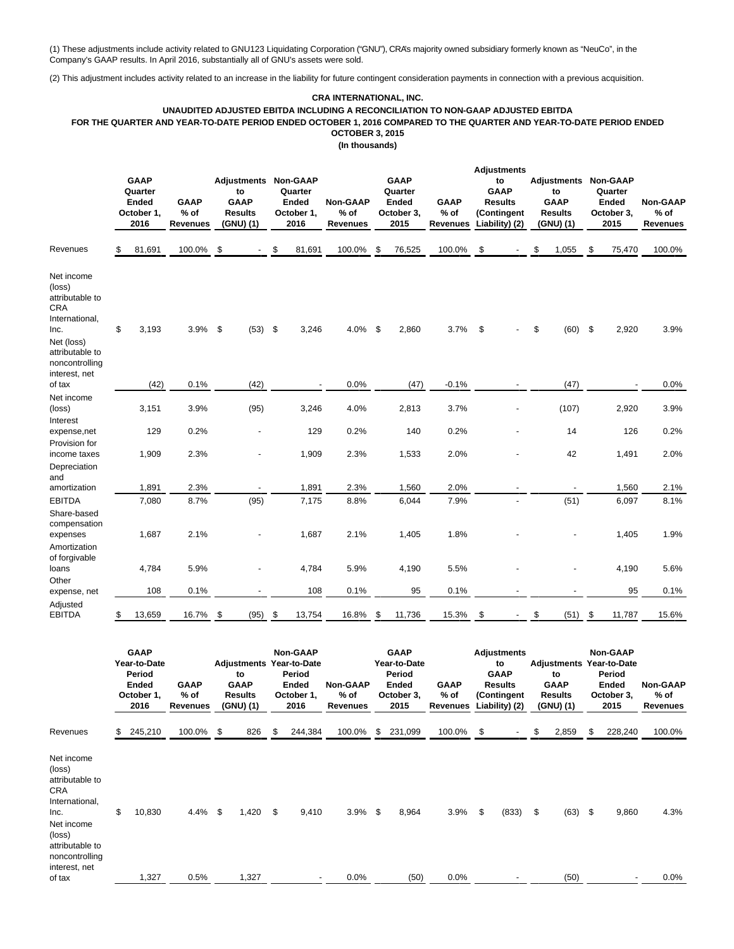(1) These adjustments include activity related to GNU123 Liquidating Corporation ("GNU"), CRA's majority owned subsidiary formerly known as "NeuCo", in the Company's GAAP results. In April 2016, substantially all of GNU's assets were sold.

(2) This adjustment includes activity related to an increase in the liability for future contingent consideration payments in connection with a previous acquisition.

# **CRA INTERNATIONAL, INC. UNAUDITED ADJUSTED EBITDA INCLUDING A RECONCILIATION TO NON-GAAP ADJUSTED EBITDA FOR THE QUARTER AND YEAR-TO-DATE PERIOD ENDED OCTOBER 1, 2016 COMPARED TO THE QUARTER AND YEAR-TO-DATE PERIOD ENDED OCTOBER 3, 2015 (In thousands)**

|                                                                                                                                       | <b>GAAP</b><br>Quarter<br><b>Ended</b><br>October 1,<br>2016                | <b>GAAP</b><br>% of<br><b>Revenues</b>   |      | <b>Adjustments Non-GAAP</b><br>to<br><b>GAAP</b><br><b>Results</b><br>(GNU) (1)     | Quarter<br>Ended<br>October 1,<br>2016            | <b>Non-GAAP</b><br>% of<br><b>Revenues</b> |     | <b>GAAP</b><br>Quarter<br>Ended<br>October 3,<br>2015                       | <b>GAAP</b><br>% of<br><b>Revenues</b>           | <b>Adjustments</b><br>to<br><b>GAAP</b><br><b>Results</b><br>(Contingent<br>Liability) (2) | Adjustments<br>to<br><b>GAAP</b><br>Results<br>(GNU) (1)                            | <b>Non-GAAP</b><br>Quarter<br><b>Ended</b><br>October 3,<br>2015 | <b>Non-GAAP</b><br>$%$ of<br><b>Revenues</b> |
|---------------------------------------------------------------------------------------------------------------------------------------|-----------------------------------------------------------------------------|------------------------------------------|------|-------------------------------------------------------------------------------------|---------------------------------------------------|--------------------------------------------|-----|-----------------------------------------------------------------------------|--------------------------------------------------|--------------------------------------------------------------------------------------------|-------------------------------------------------------------------------------------|------------------------------------------------------------------|----------------------------------------------|
| Revenues                                                                                                                              | 81,691                                                                      | 100.0%                                   | \$   |                                                                                     | \$<br>81,691                                      | 100.0%                                     | \$  | 76,525                                                                      | 100.0%                                           | \$                                                                                         | \$<br>1,055                                                                         | \$<br>75,470                                                     | 100.0%                                       |
| Net income<br>(loss)<br>attributable to<br>CRA<br>International,<br>Inc.<br>Net (loss)<br>attributable to<br>noncontrolling           | \$<br>3,193                                                                 | 3.9%                                     | \$   | (53)                                                                                | \$<br>3,246                                       | 4.0%                                       | -\$ | 2,860                                                                       | 3.7%                                             | \$                                                                                         | \$<br>(60)                                                                          | \$<br>2,920                                                      | 3.9%                                         |
| interest, net<br>of tax                                                                                                               | (42)                                                                        | 0.1%                                     |      | (42)                                                                                |                                                   | 0.0%                                       |     | (47)                                                                        | $-0.1%$                                          |                                                                                            | (47)                                                                                |                                                                  | 0.0%                                         |
| Net income<br>(loss)                                                                                                                  | 3,151                                                                       | 3.9%                                     |      | (95)                                                                                | 3,246                                             | 4.0%                                       |     | 2,813                                                                       | 3.7%                                             |                                                                                            | (107)                                                                               | 2,920                                                            | 3.9%                                         |
| Interest<br>expense,net                                                                                                               | 129                                                                         | 0.2%                                     |      |                                                                                     | 129                                               | 0.2%                                       |     | 140                                                                         | 0.2%                                             |                                                                                            | 14                                                                                  | 126                                                              | 0.2%                                         |
| Provision for<br>income taxes<br>Depreciation<br>and                                                                                  | 1,909                                                                       | 2.3%                                     |      |                                                                                     | 1,909                                             | 2.3%                                       |     | 1,533                                                                       | 2.0%                                             |                                                                                            | 42                                                                                  | 1,491                                                            | 2.0%                                         |
| amortization                                                                                                                          | 1,891                                                                       | 2.3%                                     |      |                                                                                     | 1,891                                             | 2.3%                                       |     | 1,560                                                                       | 2.0%                                             |                                                                                            |                                                                                     | 1,560                                                            | 2.1%                                         |
| <b>EBITDA</b><br>Share-based                                                                                                          | 7,080                                                                       | 8.7%                                     |      | (95)                                                                                | 7,175                                             | 8.8%                                       |     | 6,044                                                                       | 7.9%                                             |                                                                                            | (51)                                                                                | 6,097                                                            | 8.1%                                         |
| compensation<br>expenses<br>Amortization                                                                                              | 1,687                                                                       | 2.1%                                     |      |                                                                                     | 1,687                                             | 2.1%                                       |     | 1,405                                                                       | 1.8%                                             |                                                                                            |                                                                                     | 1,405                                                            | 1.9%                                         |
| of forgivable<br>loans<br>Other                                                                                                       | 4,784                                                                       | 5.9%                                     |      |                                                                                     | 4,784                                             | 5.9%                                       |     | 4,190                                                                       | 5.5%                                             |                                                                                            |                                                                                     | 4,190                                                            | 5.6%                                         |
| expense, net                                                                                                                          | 108                                                                         | 0.1%                                     |      |                                                                                     | 108                                               | 0.1%                                       |     | 95                                                                          | 0.1%                                             |                                                                                            |                                                                                     | 95                                                               | 0.1%                                         |
| Adjusted<br>EBITDA                                                                                                                    | \$<br>13,659                                                                | 16.7%                                    | \$   | (95)                                                                                | \$<br>13,754                                      | 16.8%                                      | \$  | 11,736                                                                      | 15.3%                                            | \$                                                                                         | \$<br>(51)                                                                          | \$<br>11,787                                                     | 15.6%                                        |
|                                                                                                                                       | <b>GAAP</b><br>Year-to-Date<br>Period<br><b>Ended</b><br>October 1,<br>2016 | <b>GAAP</b><br>$%$ of<br><b>Revenues</b> |      | <b>Adjustments Year-to-Date</b><br>to<br><b>GAAP</b><br><b>Results</b><br>(GNU) (1) | Non-GAAP<br>Period<br>Ended<br>October 1,<br>2016 | Non-GAAP<br>% of<br>Revenues               |     | <b>GAAP</b><br>Year-to-Date<br>Period<br><b>Ended</b><br>October 3,<br>2015 | <b>GAAP</b><br>$%$ of<br>Revenues Liability) (2) | <b>Adjustments</b><br>to<br><b>GAAP</b><br><b>Results</b><br>(Contingent                   | <b>Adjustments Year-to-Date</b><br>to<br><b>GAAP</b><br><b>Results</b><br>(GNU) (1) | <b>Non-GAAP</b><br>Period<br>Ended<br>October 3,<br>2015         | Non-GAAP<br>$%$ of<br>Revenues               |
| Revenues                                                                                                                              | 245,210                                                                     | 100.0%                                   | \$   | 826                                                                                 | \$<br>244,384                                     | 100.0%                                     | \$  | 231,099                                                                     | 100.0%                                           | \$                                                                                         | \$<br>2,859                                                                         | \$<br>228,240                                                    | 100.0%                                       |
| Net income<br>(loss)<br>attributable to<br>CRA<br>International,<br>Inc.<br>Net income<br>(loss)<br>attributable to<br>noncontrolling | \$<br>10,830                                                                | 4.4%                                     | - \$ | 1,420                                                                               | \$<br>9,410                                       | 3.9%                                       | -\$ | 8,964                                                                       | 3.9%                                             | \$<br>(833)                                                                                | \$<br>$(63)$ \$                                                                     | 9,860                                                            | 4.3%                                         |
| interest, net<br>of tax                                                                                                               | 1,327                                                                       | 0.5%                                     |      | 1,327                                                                               |                                                   | 0.0%                                       |     | (50)                                                                        | 0.0%                                             |                                                                                            | (50)                                                                                |                                                                  | $0.0\%$                                      |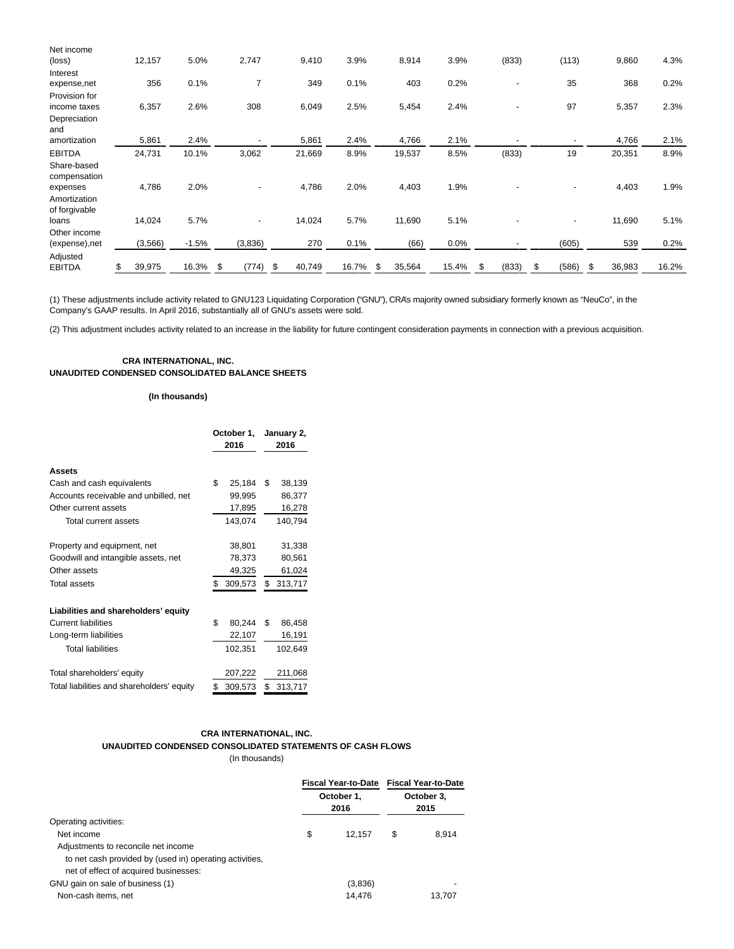| Net income                     |              |         |             |              |       |              |       |             |             |              |       |
|--------------------------------|--------------|---------|-------------|--------------|-------|--------------|-------|-------------|-------------|--------------|-------|
| (loss)                         | 12,157       | 5.0%    | 2,747       | 9,410        | 3.9%  | 8,914        | 3.9%  | (833)       | (113)       | 9,860        | 4.3%  |
| Interest                       |              |         |             |              |       |              |       |             |             |              |       |
| expense,net                    | 356          | 0.1%    | 7           | 349          | 0.1%  | 403          | 0.2%  |             | 35          | 368          | 0.2%  |
| Provision for                  |              |         |             |              |       |              |       |             |             |              |       |
| income taxes                   | 6,357        | 2.6%    | 308         | 6,049        | 2.5%  | 5,454        | 2.4%  |             | 97          | 5,357        | 2.3%  |
| Depreciation<br>and            |              |         |             |              |       |              |       |             |             |              |       |
| amortization                   | 5,861        | 2.4%    |             | 5,861        | 2.4%  | 4,766        | 2.1%  |             |             | 4,766        | 2.1%  |
| <b>EBITDA</b>                  | 24,731       | 10.1%   | 3,062       | 21,669       | 8.9%  | 19,537       | 8.5%  | (833)       | 19          | 20,351       | 8.9%  |
| Share-based<br>compensation    |              |         |             |              |       |              |       |             |             |              |       |
| expenses                       | 4,786        | 2.0%    |             | 4,786        | 2.0%  | 4,403        | 1.9%  |             |             | 4,403        | 1.9%  |
| Amortization<br>of forgivable  |              |         |             |              |       |              |       |             |             |              |       |
| loans                          | 14,024       | 5.7%    |             | 14,024       | 5.7%  | 11,690       | 5.1%  |             | ٠           | 11,690       | 5.1%  |
| Other income<br>(expense), net | (3,566)      | $-1.5%$ | (3,836)     | 270          | 0.1%  | (66)         | 0.0%  |             | (605)       | 539          | 0.2%  |
| Adjusted<br><b>EBITDA</b>      | \$<br>39,975 | 16.3%   | \$<br>(774) | \$<br>40,749 | 16.7% | \$<br>35,564 | 15.4% | \$<br>(833) | \$<br>(586) | \$<br>36,983 | 16.2% |

(1) These adjustments include activity related to GNU123 Liquidating Corporation ("GNU"), CRA's majority owned subsidiary formerly known as "NeuCo", in the Company's GAAP results. In April 2016, substantially all of GNU's assets were sold.

(2) This adjustment includes activity related to an increase in the liability for future contingent consideration payments in connection with a previous acquisition.

# **CRA INTERNATIONAL, INC. UNAUDITED CONDENSED CONSOLIDATED BALANCE SHEETS**

**(In thousands)**

|                                            | October 1,<br>2016 | January 2,<br>2016 |  |  |
|--------------------------------------------|--------------------|--------------------|--|--|
| <b>Assets</b>                              |                    |                    |  |  |
| Cash and cash equivalents                  | \$<br>25,184       | \$<br>38,139       |  |  |
| Accounts receivable and unbilled, net      | 99,995             | 86,377             |  |  |
| Other current assets                       | 17,895             | 16,278             |  |  |
| Total current assets                       | 143,074            | 140,794            |  |  |
| Property and equipment, net                | 38,801             | 31,338             |  |  |
| Goodwill and intangible assets, net        | 78,373             | 80,561             |  |  |
| Other assets                               | 49,325             | 61,024             |  |  |
| <b>Total assets</b>                        | \$<br>309,573      | \$<br>313,717      |  |  |
| Liabilities and shareholders' equity       |                    |                    |  |  |
| <b>Current liabilities</b>                 | \$<br>80,244       | \$<br>86,458       |  |  |
| Long-term liabilities                      | 22,107             | 16,191             |  |  |
| <b>Total liabilities</b>                   | 102,351            | 102,649            |  |  |
| Total shareholders' equity                 | 207,222            | 211,068            |  |  |
| Total liabilities and shareholders' equity | \$<br>309,573      | \$<br>313,717      |  |  |

# **CRA INTERNATIONAL, INC. UNAUDITED CONDENSED CONSOLIDATED STATEMENTS OF CASH FLOWS**

(In thousands)

|                                                         |                    | Fiscal Year-to-Date Fiscal Year-to-Date<br>October 3,<br>2015 |        |  |
|---------------------------------------------------------|--------------------|---------------------------------------------------------------|--------|--|
|                                                         | October 1.<br>2016 |                                                               |        |  |
| Operating activities:                                   |                    |                                                               |        |  |
| Net income                                              | \$<br>12.157       | S                                                             | 8.914  |  |
| Adjustments to reconcile net income                     |                    |                                                               |        |  |
| to net cash provided by (used in) operating activities, |                    |                                                               |        |  |
| net of effect of acquired businesses:                   |                    |                                                               |        |  |
| GNU gain on sale of business (1)                        | (3,836)            |                                                               |        |  |
| Non-cash items, net                                     | 14.476             |                                                               | 13.707 |  |